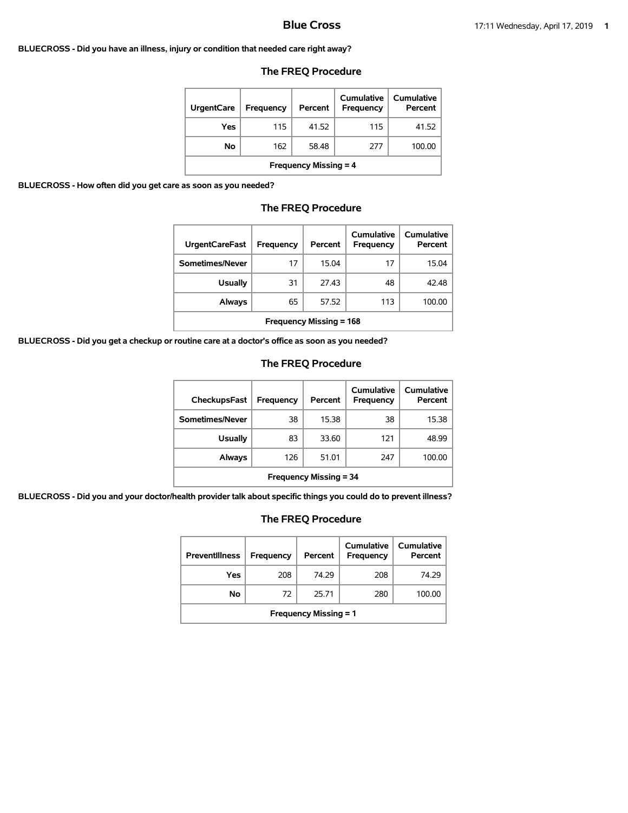#### **BLUECROSS - Did you have an illness, injury or condition that needed care right away?**

| <b>UrgentCare</b>            | Frequency | Percent | Cumulative<br><b>Frequency</b> | Cumulative<br>Percent |  |
|------------------------------|-----------|---------|--------------------------------|-----------------------|--|
| Yes                          | 115       | 41.52   | 115                            | 41.52                 |  |
| No                           | 162       | 58.48   | 277                            | 100.00                |  |
| <b>Frequency Missing = 4</b> |           |         |                                |                       |  |

## **The FREQ Procedure**

**BLUECROSS - How often did you get care as soon as you needed?**

# **The FREQ Procedure**

| <b>UrgentCareFast</b>          | <b>Frequency</b> | Percent | Cumulative<br><b>Frequency</b> | Cumulative<br>Percent |
|--------------------------------|------------------|---------|--------------------------------|-----------------------|
| Sometimes/Never                | 17               | 15.04   | 17                             | 15.04                 |
| <b>Usually</b>                 | 31               | 27.43   | 48                             | 42.48                 |
| Always                         | 65               | 57.52   | 113                            | 100.00                |
| <b>Frequency Missing = 168</b> |                  |         |                                |                       |

**BLUECROSS - Did you get a checkup or routine care at a doctor's office as soon as you needed?**

## **The FREQ Procedure**

| CheckupsFast                  | Frequency | Percent | Cumulative<br>Frequency | Cumulative<br>Percent |
|-------------------------------|-----------|---------|-------------------------|-----------------------|
| Sometimes/Never               | 38        | 15.38   | 38                      | 15.38                 |
| <b>Usually</b>                | 83        | 33.60   | 121                     | 48.99                 |
| Always                        | 126       | 51.01   | 247                     | 100.00                |
| <b>Frequency Missing = 34</b> |           |         |                         |                       |

**BLUECROSS - Did you and your doctor/health provider talk about specific things you could do to prevent illness?**

| <b>Preventillness</b>        | <b>Frequency</b> | Percent | Cumulative<br><b>Frequency</b> | Cumulative<br>Percent |  |
|------------------------------|------------------|---------|--------------------------------|-----------------------|--|
| Yes                          | 208              | 74.29   | 208                            | 74.29                 |  |
| No                           | 72               | 25.71   | 280                            | 100.00                |  |
| <b>Frequency Missing = 1</b> |                  |         |                                |                       |  |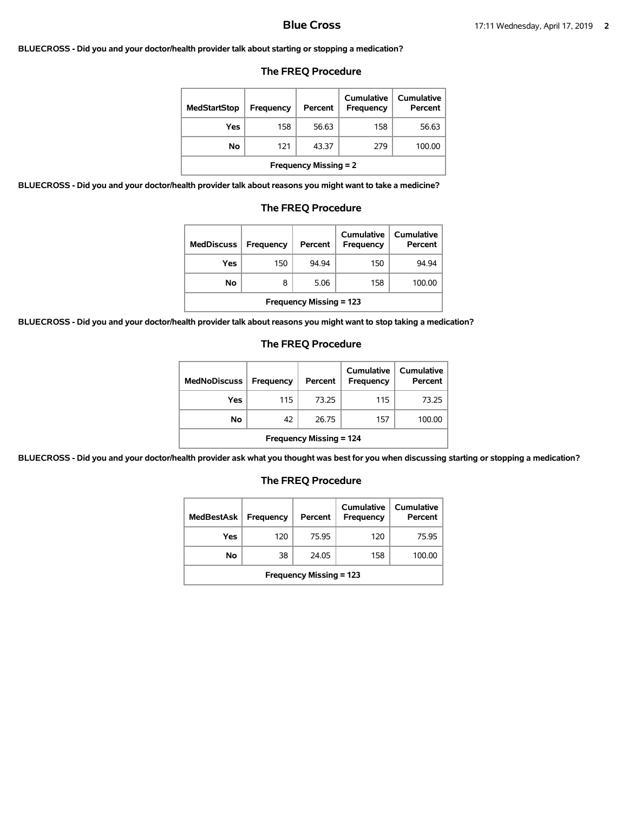### **BLUECROSS - Did you and your doctor/health provider talk about starting or stopping a medication?**

## **The FREQ Procedure**

| <b>MedStartStop</b>          | Frequency | Percent | Cumulative<br>Frequency | Cumulative<br>Percent |  |
|------------------------------|-----------|---------|-------------------------|-----------------------|--|
| Yes                          | 158       | 56.63   | 158                     | 56.63                 |  |
| No                           | 121       | 43.37   | 279                     | 100.00                |  |
| <b>Frequency Missing = 2</b> |           |         |                         |                       |  |

**BLUECROSS - Did you and your doctor/health provider talk about reasons you might want to take a medicine?**

## **The FREQ Procedure**

| <b>MedDiscuss</b>              | Frequency | Percent | <b>Cumulative</b><br><b>Frequency</b> | Cumulative<br>Percent |  |
|--------------------------------|-----------|---------|---------------------------------------|-----------------------|--|
| Yes                            | 150       | 94.94   | 150                                   | 94.94                 |  |
| No                             | 8         | 5.06    | 158                                   | 100.00                |  |
| <b>Frequency Missing = 123</b> |           |         |                                       |                       |  |

**BLUECROSS - Did you and your doctor/health provider talk about reasons you might want to stop taking a medication?**

## **The FREQ Procedure**

| <b>MedNoDiscuss</b>            | <b>Frequency</b> | Percent | <b>Cumulative</b><br>Frequency | <b>Cumulative</b><br>Percent |  |
|--------------------------------|------------------|---------|--------------------------------|------------------------------|--|
| Yes                            | 115              | 73.25   | 115                            | 73.25                        |  |
| No                             | 42               | 26.75   | 157                            | 100.00                       |  |
| <b>Frequency Missing = 124</b> |                  |         |                                |                              |  |

**BLUECROSS - Did you and your doctor/health provider ask what you thought was best for you when discussing starting or stopping a medication?**

| <b>MedBestAsk</b>              | Frequency | Percent | Cumulative<br><b>Frequency</b> | <b>Cumulative</b><br>Percent |  |
|--------------------------------|-----------|---------|--------------------------------|------------------------------|--|
| Yes                            | 120       | 75.95   | 120                            | 75.95                        |  |
| No                             | 38        | 24.05   | 158                            | 100.00                       |  |
| <b>Frequency Missing = 123</b> |           |         |                                |                              |  |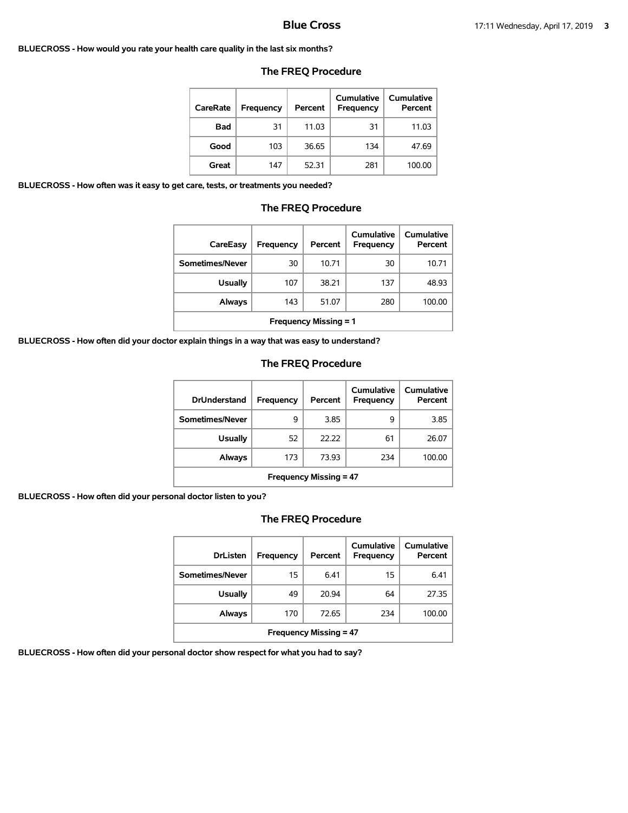#### **BLUECROSS - How would you rate your health care quality in the last six months?**

| CareRate   | Frequency | Percent | Cumulative<br>Frequency | Cumulative<br>Percent |
|------------|-----------|---------|-------------------------|-----------------------|
| <b>Bad</b> | 31        | 11.03   | 31                      | 11.03                 |
| Good       | 103       | 36.65   | 134                     | 47.69                 |
| Great      | 147       | 52.31   | 281                     | 100.00                |

### **The FREQ Procedure**

**BLUECROSS - How often was it easy to get care, tests, or treatments you needed?**

### **The FREQ Procedure**

| CareEasy                     | Frequency | Percent | Cumulative<br>Frequency | Cumulative<br>Percent |
|------------------------------|-----------|---------|-------------------------|-----------------------|
| Sometimes/Never              | 30        | 10.71   | 30                      | 10.71                 |
| <b>Usually</b>               | 107       | 38.21   | 137                     | 48.93                 |
| Always                       | 143       | 51.07   | 280                     | 100.00                |
| <b>Frequency Missing = 1</b> |           |         |                         |                       |

**BLUECROSS - How often did your doctor explain things in a way that was easy to understand?**

# **The FREQ Procedure**

| <b>DrUnderstand</b>           | Frequency | Percent | Cumulative<br>Frequency | Cumulative<br>Percent |
|-------------------------------|-----------|---------|-------------------------|-----------------------|
| Sometimes/Never               | 9         | 3.85    | 9                       | 3.85                  |
| <b>Usually</b>                | 52        | 22.22   | 61                      | 26.07                 |
| Always                        | 173       | 73.93   | 234                     | 100.00                |
| <b>Frequency Missing = 47</b> |           |         |                         |                       |

**BLUECROSS - How often did your personal doctor listen to you?**

# **The FREQ Procedure**

| <b>DrListen</b>               | Frequency | Percent | Cumulative<br>Frequency | <b>Cumulative</b><br>Percent |  |
|-------------------------------|-----------|---------|-------------------------|------------------------------|--|
| Sometimes/Never               | 15        | 6.41    | 15                      | 6.41                         |  |
| <b>Usually</b>                | 49        | 20.94   | 64                      | 27.35                        |  |
| Always                        | 170       | 72.65   | 234                     | 100.00                       |  |
| <b>Frequency Missing = 47</b> |           |         |                         |                              |  |

**BLUECROSS - How often did your personal doctor show respect for what you had to say?**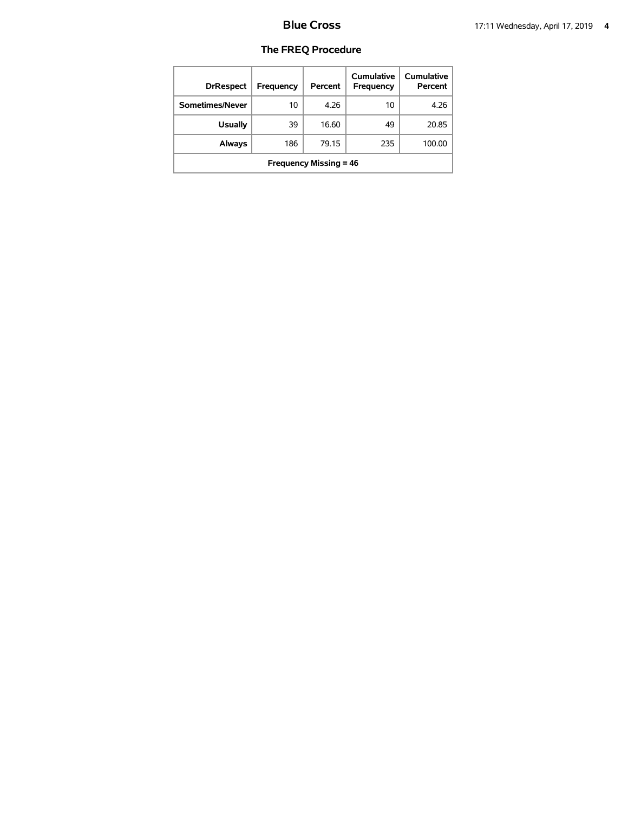| <b>DrRespect</b>              | Frequency | Percent | Cumulative<br>Frequency | Cumulative<br>Percent |  |
|-------------------------------|-----------|---------|-------------------------|-----------------------|--|
| Sometimes/Never               | 10        | 4.26    | 10                      | 4.26                  |  |
| <b>Usually</b>                | 39        | 16.60   | 49                      | 20.85                 |  |
| Always                        | 186       | 79.15   | 235                     | 100.00                |  |
| <b>Frequency Missing = 46</b> |           |         |                         |                       |  |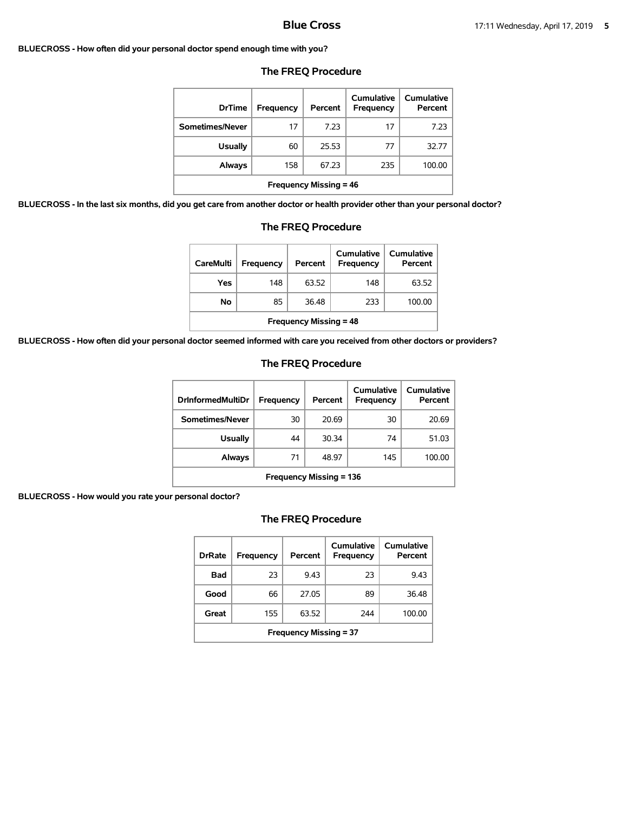### **BLUECROSS - How often did your personal doctor spend enough time with you?**

| <b>DrTime</b>                 | Frequency | Percent | Cumulative<br><b>Frequency</b> | Cumulative<br>Percent |  |
|-------------------------------|-----------|---------|--------------------------------|-----------------------|--|
| Sometimes/Never               | 17        | 7.23    | 17                             | 7.23                  |  |
| <b>Usually</b>                | 60        | 25.53   | 77                             | 32.77                 |  |
| Always                        | 158       | 67.23   | 235                            | 100.00                |  |
| <b>Frequency Missing = 46</b> |           |         |                                |                       |  |

## **The FREQ Procedure**

**BLUECROSS - In the last six months, did you get care from another doctor or health provider other than your personal doctor?**

| <b>Usually</b>                                                        | 60  | 25.53 | 77  | 32.77  |  |  |
|-----------------------------------------------------------------------|-----|-------|-----|--------|--|--|
| Always                                                                | 158 | 67.23 | 235 | 100.00 |  |  |
| <b>Frequency Missing = 46</b>                                         |     |       |     |        |  |  |
| ou get care from another doctor or health provider other than your pe |     |       |     |        |  |  |
| <b>The FREQ Procedure</b>                                             |     |       |     |        |  |  |
|                                                                       |     |       |     |        |  |  |

| <b>CareMulti</b>              | Frequency | Percent | Cumulative<br><b>Frequency</b> | Cumulative<br>Percent |  |
|-------------------------------|-----------|---------|--------------------------------|-----------------------|--|
| Yes                           | 148       | 63.52   | 148                            | 63.52                 |  |
| No                            | 85        | 36.48   | 233                            | 100.00                |  |
| <b>Frequency Missing = 48</b> |           |         |                                |                       |  |

**BLUECROSS - How often did your personal doctor seemed informed with care you received from other doctors or providers?**

## **The FREQ Procedure**

| <b>DrInformedMultiDr</b>       | Frequency | Percent | Cumulative<br><b>Frequency</b> | Cumulative<br>Percent |  |
|--------------------------------|-----------|---------|--------------------------------|-----------------------|--|
| Sometimes/Never                | 30        | 20.69   | 30                             | 20.69                 |  |
| Usually                        | 44        | 30.34   | 74                             | 51.03                 |  |
| Always                         | 71        | 48.97   | 145                            | 100.00                |  |
| <b>Frequency Missing = 136</b> |           |         |                                |                       |  |

## **BLUECROSS - How would you rate your personal doctor?**

| <b>DrRate</b>                 | Frequency | Percent | Cumulative<br>Frequency | Cumulative<br>Percent |  |
|-------------------------------|-----------|---------|-------------------------|-----------------------|--|
| Bad                           | 23        | 9.43    | 23                      | 9.43                  |  |
| Good                          | 66        | 27.05   | 89                      | 36.48                 |  |
| Great                         | 155       | 63.52   | 244                     | 100.00                |  |
| <b>Frequency Missing = 37</b> |           |         |                         |                       |  |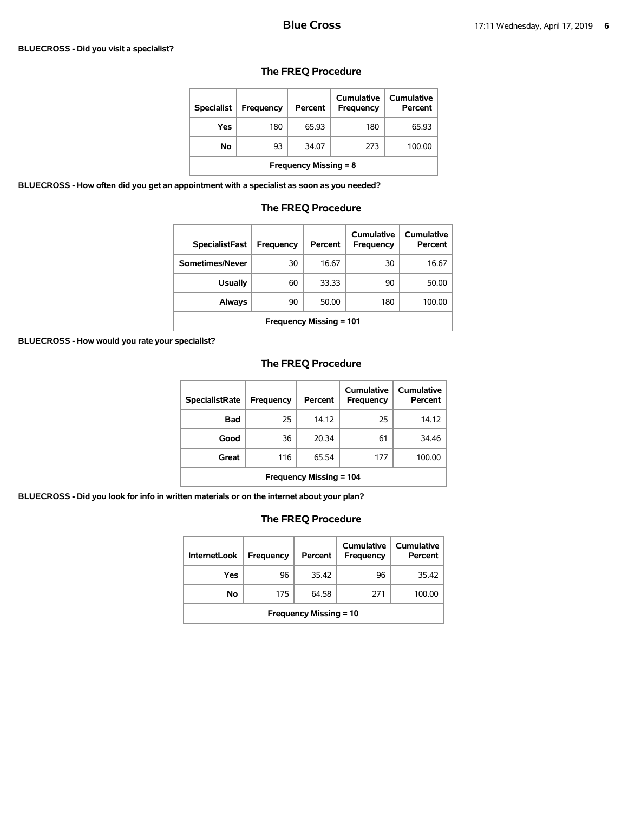### **BLUECROSS - Did you visit a specialist?**

| <b>Specialist</b>            | Frequency | Percent | Cumulative<br>Frequency | Cumulative<br>Percent |  |
|------------------------------|-----------|---------|-------------------------|-----------------------|--|
| Yes                          | 180       | 65.93   | 180                     | 65.93                 |  |
| No                           | 93        | 34.07   | 273                     | 100.00                |  |
| <b>Frequency Missing = 8</b> |           |         |                         |                       |  |

# **The FREQ Procedure**

**BLUECROSS - How often did you get an appointment with a specialist as soon as you needed?**

# **The FREQ Procedure**

| <b>SpecialistFast</b>          | Frequency | Percent | Cumulative<br>Frequency | Cumulative<br>Percent |  |
|--------------------------------|-----------|---------|-------------------------|-----------------------|--|
| Sometimes/Never                | 30        | 16.67   | 30                      | 16.67                 |  |
| <b>Usually</b>                 | 60        | 33.33   | 90                      | 50.00                 |  |
| Always                         | 90        | 50.00   | 180                     | 100.00                |  |
| <b>Frequency Missing = 101</b> |           |         |                         |                       |  |

**BLUECROSS - How would you rate your specialist?**

# **The FREQ Procedure**

| <b>SpecialistRate</b>          | Frequency | Percent | Cumulative<br><b>Frequency</b> | Cumulative<br>Percent |  |
|--------------------------------|-----------|---------|--------------------------------|-----------------------|--|
| Bad                            | 25        | 14.12   | 25                             | 14.12                 |  |
| Good                           | 36        | 20.34   | 61                             | 34.46                 |  |
| Great                          | 116       | 65.54   | 177                            | 100.00                |  |
| <b>Frequency Missing = 104</b> |           |         |                                |                       |  |

**BLUECROSS - Did you look for info in written materials or on the internet about your plan?**

| <b>InternetLook</b>           | Frequency | Percent | Cumulative<br><b>Frequency</b> | Cumulative<br>Percent |  |
|-------------------------------|-----------|---------|--------------------------------|-----------------------|--|
| Yes                           | 96        | 35.42   | 96                             | 35.42                 |  |
| No                            | 175       | 64.58   | 271                            | 100.00                |  |
| <b>Frequency Missing = 10</b> |           |         |                                |                       |  |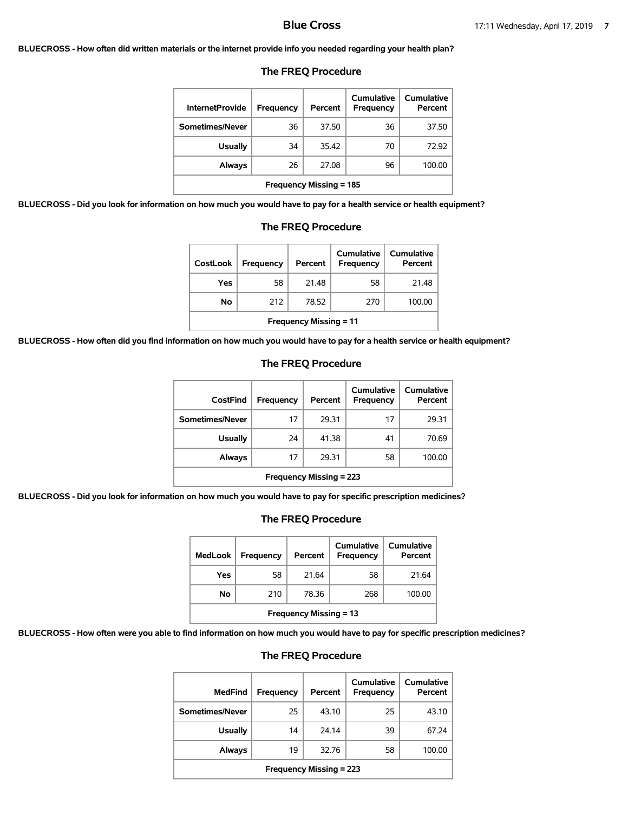### **BLUECROSS - How often did written materials or the internet provide info you needed regarding your health plan?**

| <b>InternetProvide</b>         | Frequency | Percent | <b>Cumulative</b><br><b>Frequency</b> | Cumulative<br>Percent |  |
|--------------------------------|-----------|---------|---------------------------------------|-----------------------|--|
| Sometimes/Never                | 36        | 37.50   | 36                                    | 37.50                 |  |
| <b>Usually</b>                 | 34        | 35.42   | 70                                    | 72.92                 |  |
| Always                         | 26        | 27.08   | 96                                    | 100.00                |  |
| <b>Frequency Missing = 185</b> |           |         |                                       |                       |  |

## **The FREQ Procedure**

**BLUECROSS - Did you look for information on how much you would have to pay for a health service or health equipment?**

| on how much you would have to pay for a health service or health $\epsilon$ |                  |         |                                |                       |  |
|-----------------------------------------------------------------------------|------------------|---------|--------------------------------|-----------------------|--|
| <b>The FREQ Procedure</b>                                                   |                  |         |                                |                       |  |
| <b>CostLook</b>                                                             | <b>Frequency</b> | Percent | Cumulative<br><b>Frequency</b> | Cumulative<br>Percent |  |
| Yes                                                                         | 58               | 21.48   | 58                             | 21.48                 |  |
| No                                                                          | 212              | 78.52   | 270                            | 100.00                |  |

| CostFind                       | Frequency | Percent | Cumulative<br>Frequency | Cumulative<br>Percent |
|--------------------------------|-----------|---------|-------------------------|-----------------------|
| Sometimes/Never                | 17        | 29.31   | 17                      | 29.31                 |
| <b>Usually</b>                 | 24        | 41.38   | 41                      | 70.69                 |
| <b>Always</b>                  | 17        | 29.31   | 58                      | 100.00                |
| <b>Frequency Missing = 223</b> |           |         |                         |                       |

## **The FREQ Procedure**

**Frequency Missing = 11**

**BLUECROSS - Did you look for information on how much you would have to pay for specific prescription medicines?**

# **The FREQ Procedure**

| <b>MedLook</b>                | <b>Frequency</b> | Percent | Cumulative<br><b>Frequency</b> | <b>Cumulative</b><br>Percent |  |  |
|-------------------------------|------------------|---------|--------------------------------|------------------------------|--|--|
| Yes                           | 58               | 21.64   | 58                             | 21.64                        |  |  |
| No                            | 210              | 78.36   | 268                            | 100.00                       |  |  |
| <b>Frequency Missing = 13</b> |                  |         |                                |                              |  |  |

**BLUECROSS - How often were you able to find information on how much you would have to pay for specific prescription medicines?**

| <b>MedFind</b>                 | <b>Frequency</b> | Percent | Cumulative<br>Frequency | Cumulative<br>Percent |
|--------------------------------|------------------|---------|-------------------------|-----------------------|
| Sometimes/Never                | 25               | 43.10   | 25                      | 43.10                 |
| <b>Usually</b>                 | 14               | 24.14   | 39                      | 67.24                 |
| Always                         | 19               | 32.76   | 58                      | 100.00                |
| <b>Frequency Missing = 223</b> |                  |         |                         |                       |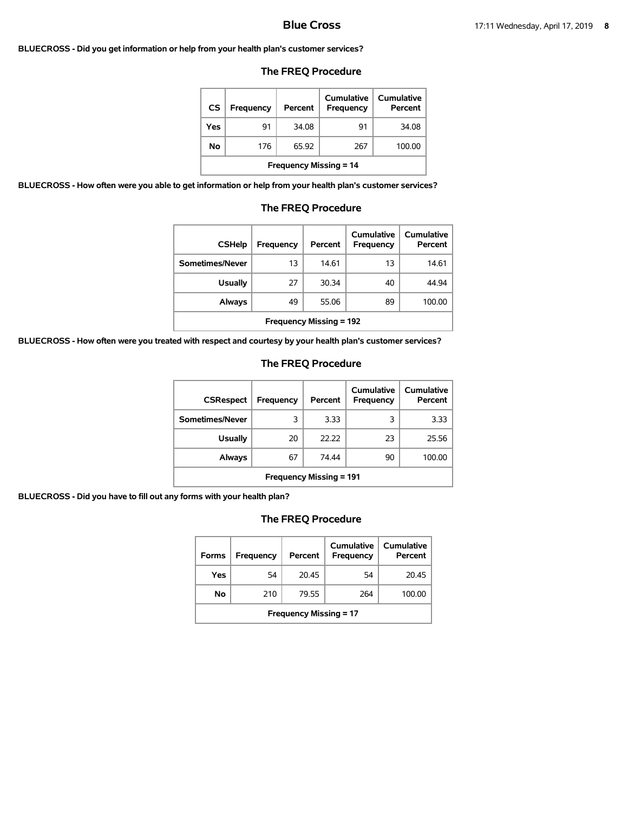#### **BLUECROSS - Did you get information or help from your health plan's customer services?**

## **The FREQ Procedure**

| CS                            | Frequency | Percent | Cumulative<br>Frequency | Cumulative<br>Percent |  |  |  |
|-------------------------------|-----------|---------|-------------------------|-----------------------|--|--|--|
| Yes                           | 91        | 34.08   | 91                      | 34.08                 |  |  |  |
| No                            | 176       | 65.92   | 267                     | 100.00                |  |  |  |
| <b>Frequency Missing = 14</b> |           |         |                         |                       |  |  |  |

**BLUECROSS - How often were you able to get information or help from your health plan's customer services?**

### **The FREQ Procedure**

| <b>CSHelp</b>                  | Frequency | Percent | Cumulative<br>Frequency | Cumulative<br>Percent |
|--------------------------------|-----------|---------|-------------------------|-----------------------|
| Sometimes/Never                | 13        | 14.61   | 13                      | 14.61                 |
| <b>Usually</b>                 | 27        | 30.34   | 40                      | 44.94                 |
| Always                         | 49        | 55.06   | 89                      | 100.00                |
| <b>Frequency Missing = 192</b> |           |         |                         |                       |

**BLUECROSS - How often were you treated with respect and courtesy by your health plan's customer services?**

## **The FREQ Procedure**

| <b>CSRespect</b>               | Frequency | Percent | Cumulative<br>Frequency | Cumulative<br>Percent |
|--------------------------------|-----------|---------|-------------------------|-----------------------|
| Sometimes/Never                | 3         | 3.33    | 3                       | 3.33                  |
| <b>Usually</b>                 | 20        | 22.22   | 23                      | 25.56                 |
| Always                         | 67        | 74.44   | 90                      | 100.00                |
| <b>Frequency Missing = 191</b> |           |         |                         |                       |

**BLUECROSS - Did you have to fill out any forms with your health plan?**

| <b>Forms</b>                  | Frequency | Percent | Cumulative<br><b>Frequency</b> | Cumulative<br>Percent |  |  |
|-------------------------------|-----------|---------|--------------------------------|-----------------------|--|--|
| Yes                           | 54        | 20.45   | 54                             | 20.45                 |  |  |
| No                            | 210       | 79.55   | 264                            | 100.00                |  |  |
| <b>Frequency Missing = 17</b> |           |         |                                |                       |  |  |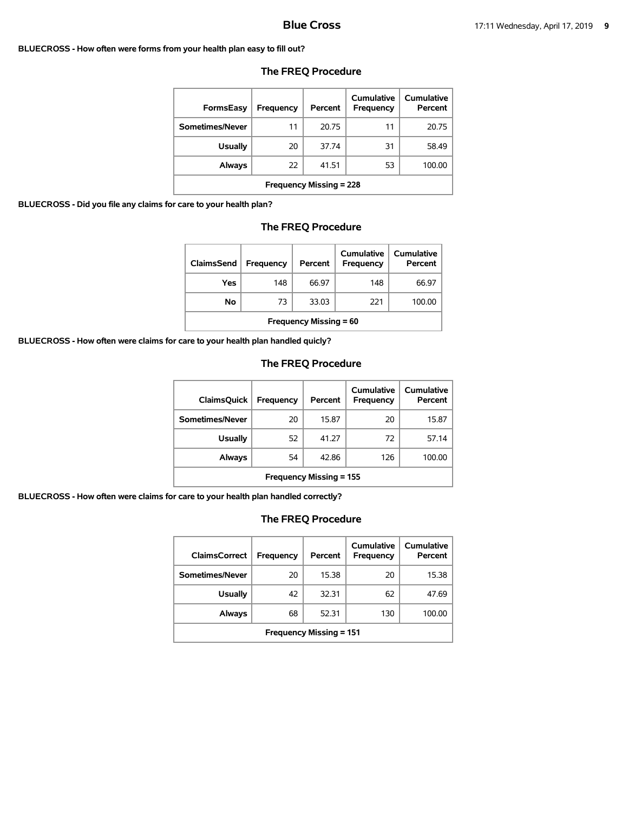#### **BLUECROSS - How often were forms from your health plan easy to fill out?**

| <b>FormsEasy</b>               | Frequency | Percent | Cumulative<br>Frequency | Cumulative<br>Percent |
|--------------------------------|-----------|---------|-------------------------|-----------------------|
| Sometimes/Never                | 11        | 20.75   | 11                      | 20.75                 |
| <b>Usually</b>                 | 20        | 37.74   | 31                      | 58.49                 |
| Always                         | 22        | 41.51   | 53                      | 100.00                |
| <b>Frequency Missing = 228</b> |           |         |                         |                       |

## **The FREQ Procedure**

**BLUECROSS - Did you file any claims for care to your health plan?**

## **The FREQ Procedure**

| <b>ClaimsSend</b>             | Frequency | Percent | Cumulative<br><b>Frequency</b> | Cumulative<br>Percent |  |
|-------------------------------|-----------|---------|--------------------------------|-----------------------|--|
| Yes                           | 148       | 66.97   | 148                            | 66.97                 |  |
| Νo                            | 73        | 33.03   | 221                            | 100.00                |  |
| <b>Frequency Missing = 60</b> |           |         |                                |                       |  |

**BLUECROSS - How often were claims for care to your health plan handled quicly?**

# **The FREQ Procedure**

| <b>ClaimsQuick</b>             | Frequency | Percent | Cumulative<br>Frequency | Cumulative<br>Percent |
|--------------------------------|-----------|---------|-------------------------|-----------------------|
| Sometimes/Never                | 20        | 15.87   | 20                      | 15.87                 |
| <b>Usually</b>                 | 52        | 41.27   | 72                      | 57.14                 |
| Always                         | 54        | 42.86   | 126                     | 100.00                |
| <b>Frequency Missing = 155</b> |           |         |                         |                       |

**BLUECROSS - How often were claims for care to your health plan handled correctly?**

| <b>ClaimsCorrect</b>           | <b>Frequency</b> | Percent | Cumulative<br>Frequency | <b>Cumulative</b><br>Percent |
|--------------------------------|------------------|---------|-------------------------|------------------------------|
| Sometimes/Never                | 20               | 15.38   | 20                      | 15.38                        |
| Usually                        | 42               | 32.31   | 62                      | 47.69                        |
| <b>Always</b>                  | 68               | 52.31   | 130                     | 100.00                       |
| <b>Frequency Missing = 151</b> |                  |         |                         |                              |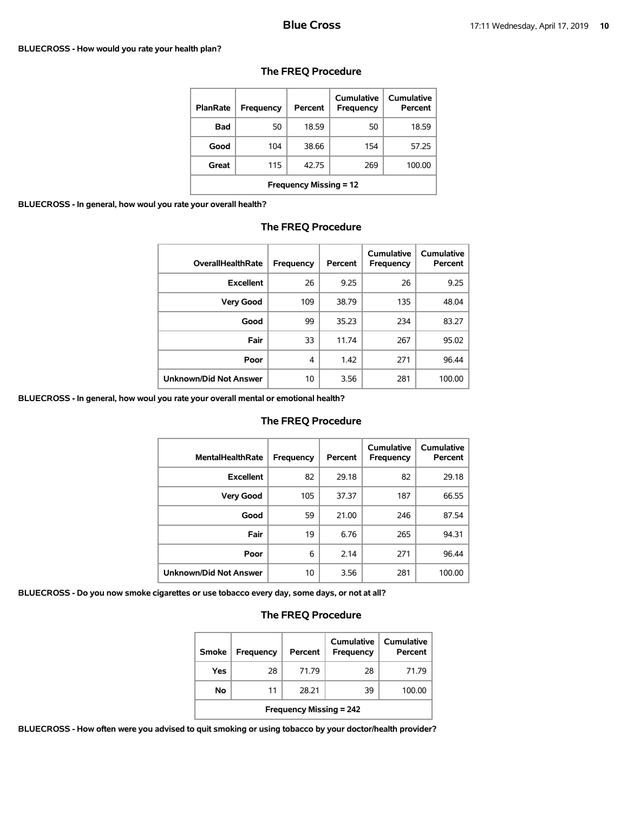### **BLUECROSS - How would you rate your health plan?**

| <b>PlanRate</b>               | Frequency | Percent | Cumulative<br>Frequency | Cumulative<br>Percent |  |
|-------------------------------|-----------|---------|-------------------------|-----------------------|--|
| <b>Bad</b>                    | 50        | 18.59   | 50                      | 18.59                 |  |
| Good                          | 104       | 38.66   | 154                     | 57.25                 |  |
| Great                         | 115       | 42.75   | 269                     | 100.00                |  |
| <b>Frequency Missing = 12</b> |           |         |                         |                       |  |

# **The FREQ Procedure**

**BLUECROSS - In general, how woul you rate your overall health?**

## **The FREQ Procedure**

| <b>OverallHealthRate</b> | Frequency | Percent | Cumulative<br>Frequency | Cumulative<br>Percent |
|--------------------------|-----------|---------|-------------------------|-----------------------|
| <b>Excellent</b>         | 26        | 9.25    | 26                      | 9.25                  |
| <b>Very Good</b>         | 109       | 38.79   | 135                     | 48.04                 |
| Good                     | 99        | 35.23   | 234                     | 83.27                 |
| Fair                     | 33        | 11.74   | 267                     | 95.02                 |
| Poor                     | 4         | 1.42    | 271                     | 96.44                 |
| Unknown/Did Not Answer   | 10        | 3.56    | 281                     | 100.00                |

**BLUECROSS - In general, how woul you rate your overall mental or emotional health?**

## **The FREQ Procedure**

| <b>MentalHealthRate</b>       | <b>Frequency</b> | Percent | Cumulative<br>Frequency | <b>Cumulative</b><br>Percent |
|-------------------------------|------------------|---------|-------------------------|------------------------------|
| <b>Excellent</b>              | 82               | 29.18   | 82                      | 29.18                        |
| <b>Very Good</b>              | 105              | 37.37   | 187                     | 66.55                        |
| Good                          | 59               | 21.00   | 246                     | 87.54                        |
| Fair                          | 19               | 6.76    | 265                     | 94.31                        |
| Poor                          | 6                | 2.14    | 271                     | 96.44                        |
| <b>Unknown/Did Not Answer</b> | 10               | 3.56    | 281                     | 100.00                       |

**BLUECROSS - Do you now smoke cigarettes or use tobacco every day, some days, or not at all?**

# **The FREQ Procedure**

| Smoke                          | <b>Frequency</b> | Percent | Cumulative<br>Frequency | Cumulative<br>Percent |
|--------------------------------|------------------|---------|-------------------------|-----------------------|
| Yes                            | 28               | 71.79   | 28                      | 71.79                 |
| No                             | 11               | 28.21   | 39                      | 100.00                |
| <b>Frequency Missing = 242</b> |                  |         |                         |                       |

**BLUECROSS - How often were you advised to quit smoking or using tobacco by your doctor/health provider?**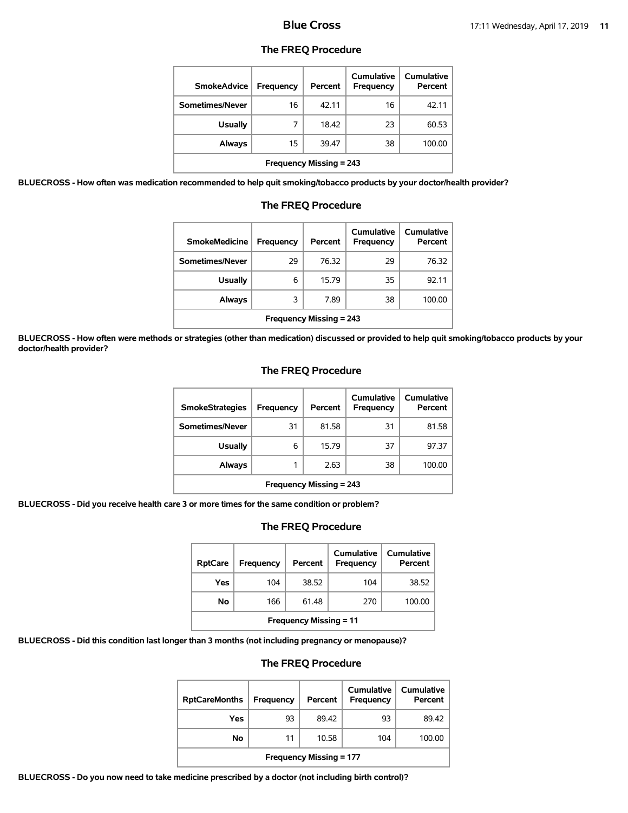## **The FREQ Procedure**

| <b>SmokeAdvice</b>             | Frequency | Percent | <b>Cumulative</b><br>Frequency | Cumulative<br>Percent |  |  |
|--------------------------------|-----------|---------|--------------------------------|-----------------------|--|--|
| Sometimes/Never                | 16        | 42.11   | 16                             | 42.11                 |  |  |
| <b>Usually</b>                 | 7         | 18.42   | 23                             | 60.53                 |  |  |
| Always                         | 15        | 39.47   | 38                             | 100.00                |  |  |
| <b>Frequency Missing = 243</b> |           |         |                                |                       |  |  |

**BLUECROSS - How often was medication recommended to help quit smoking/tobacco products by your doctor/health provider?**

| <b>SmokeMedicine</b>           | Frequency | Percent | Cumulative<br>Frequency | Cumulative<br>Percent |  |  |  |
|--------------------------------|-----------|---------|-------------------------|-----------------------|--|--|--|
| Sometimes/Never                | 29        | 76.32   | 29                      | 76.32                 |  |  |  |
| <b>Usually</b>                 | 6         | 15.79   | 35                      | 92.11                 |  |  |  |
| <b>Always</b>                  | 3         | 7.89    | 38                      | 100.00                |  |  |  |
| <b>Frequency Missing = 243</b> |           |         |                         |                       |  |  |  |

# **The FREQ Procedure**

**BLUECROSS - How often were methods or strategies (other than medication) discussed or provided to help quit smoking/tobacco products by your doctor/health provider?**

## **The FREQ Procedure**

| <b>SmokeStrategies</b>         | Frequency | Percent | Cumulative<br>Frequency | Cumulative<br>Percent |  |
|--------------------------------|-----------|---------|-------------------------|-----------------------|--|
| Sometimes/Never                | 31        | 81.58   | 31                      | 81.58                 |  |
| <b>Usually</b>                 | 6         | 15.79   | 37                      | 97.37                 |  |
| Always                         |           | 2.63    | 38                      | 100.00                |  |
| <b>Frequency Missing = 243</b> |           |         |                         |                       |  |

**BLUECROSS - Did you receive health care 3 or more times for the same condition or problem?**

## **The FREQ Procedure**

| <b>RptCare</b>                | Frequency | Percent | Cumulative<br><b>Frequency</b> | Cumulative<br>Percent |  |
|-------------------------------|-----------|---------|--------------------------------|-----------------------|--|
| Yes                           | 104       | 38.52   | 104                            | 38.52                 |  |
| No                            | 166       | 61.48   | 270                            | 100.00                |  |
| <b>Frequency Missing = 11</b> |           |         |                                |                       |  |

**BLUECROSS - Did this condition last longer than 3 months (not including pregnancy or menopause)?**

## **The FREQ Procedure**

| <b>RptCareMonths</b>           | Frequency | Percent | Cumulative<br>Frequency | <b>Cumulative</b><br>Percent |  |
|--------------------------------|-----------|---------|-------------------------|------------------------------|--|
| Yes                            | 93        | 89.42   | 93                      | 89.42                        |  |
| No                             | 11        | 10.58   | 104                     | 100.00                       |  |
| <b>Frequency Missing = 177</b> |           |         |                         |                              |  |

**BLUECROSS - Do you now need to take medicine prescribed by a doctor (not including birth control)?**